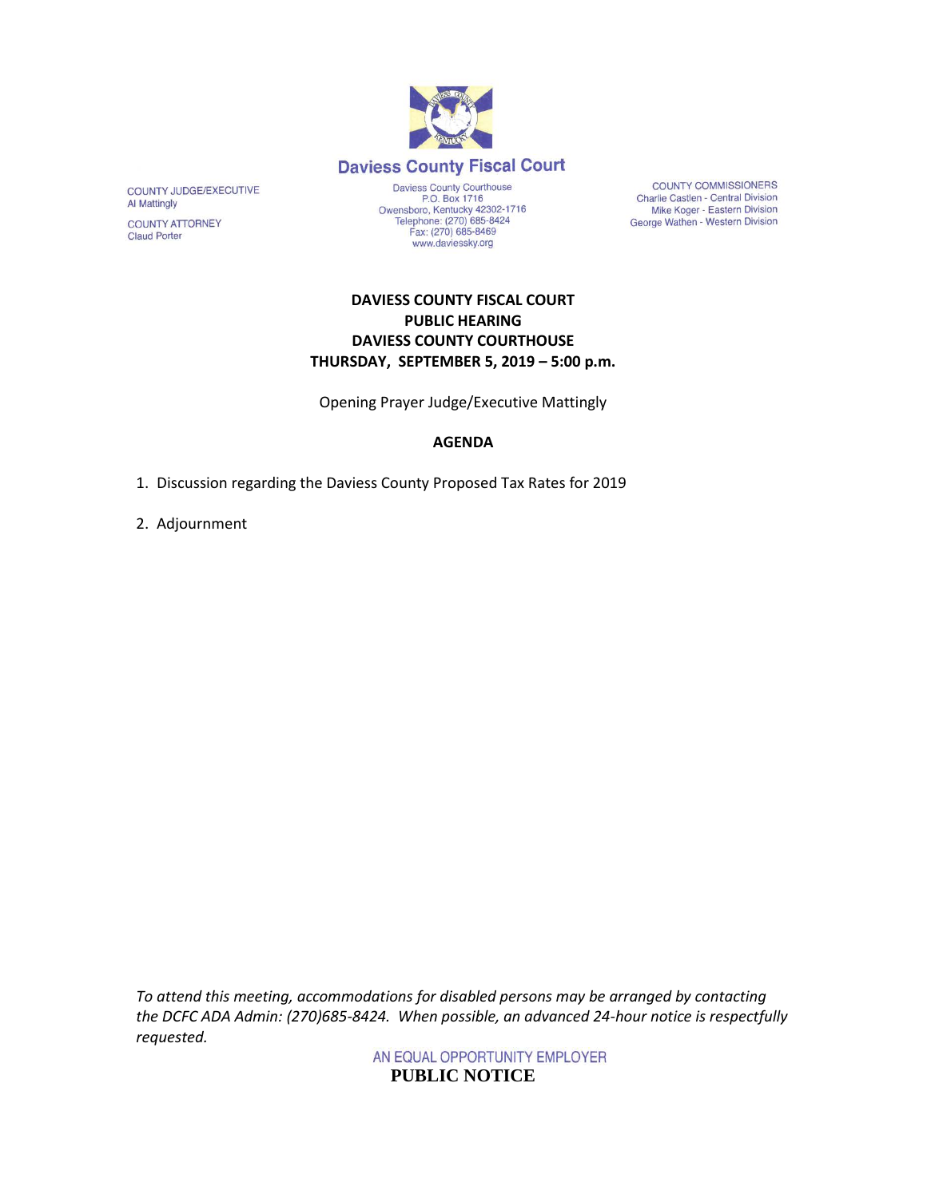

COUNTY JUDGE/EXECUTIVE Al Mattingly

COUNTY ATTORNEY **Claud Porter** 

Daviess County Courthouse<br>P.O. Box 1716 P.O. Box 1716<br>Owensboro, Kentucky 42302-1716<br>Telephone: (270) 685-8424 Fax: (270) 685-8469 www.daviessky.org

**COUNTY COMMISSIONERS** Charlie Castlen - Central Division Mike Koger - Eastern Division<br>George Wathen - Western Division

## **DAVIESS COUNTY FISCAL COURT PUBLIC HEARING DAVIESS COUNTY COURTHOUSE THURSDAY, SEPTEMBER 5, 2019 – 5:00 p.m.**

Opening Prayer Judge/Executive Mattingly

## **AGENDA**

1. Discussion regarding the Daviess County Proposed Tax Rates for 2019

2. Adjournment

*To attend this meeting, accommodations for disabled persons may be arranged by contacting the DCFC ADA Admin: (270)685-8424. When possible, an advanced 24-hour notice is respectfully requested.*

> AN EQUAL OPPORTUNITY EMPLOYER **PUBLIC NOTICE**